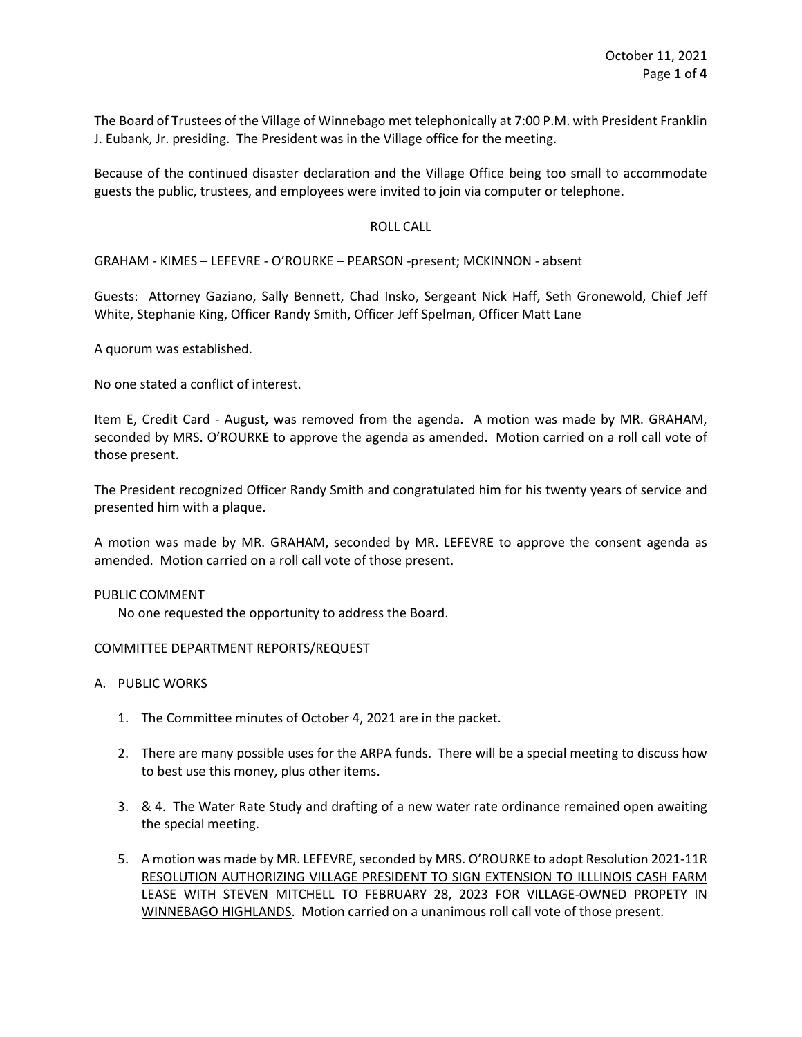The Board of Trustees of the Village of Winnebago met telephonically at 7:00 P.M. with President Franklin J. Eubank, Jr. presiding. The President was in the Village office for the meeting.

Because of the continued disaster declaration and the Village Office being too small to accommodate guests the public, trustees, and employees were invited to join via computer or telephone.

# ROLL CALL

GRAHAM - KIMES – LEFEVRE - O'ROURKE – PEARSON -present; MCKINNON - absent

Guests: Attorney Gaziano, Sally Bennett, Chad Insko, Sergeant Nick Haff, Seth Gronewold, Chief Jeff White, Stephanie King, Officer Randy Smith, Officer Jeff Spelman, Officer Matt Lane

A quorum was established.

No one stated a conflict of interest.

Item E, Credit Card - August, was removed from the agenda. A motion was made by MR. GRAHAM, seconded by MRS. O'ROURKE to approve the agenda as amended. Motion carried on a roll call vote of those present.

The President recognized Officer Randy Smith and congratulated him for his twenty years of service and presented him with a plaque.

A motion was made by MR. GRAHAM, seconded by MR. LEFEVRE to approve the consent agenda as amended. Motion carried on a roll call vote of those present.

## PUBLIC COMMENT

No one requested the opportunity to address the Board.

## COMMITTEE DEPARTMENT REPORTS/REQUEST

- A. PUBLIC WORKS
	- 1. The Committee minutes of October 4, 2021 are in the packet.
	- 2. There are many possible uses for the ARPA funds. There will be a special meeting to discuss how to best use this money, plus other items.
	- 3. & 4. The Water Rate Study and drafting of a new water rate ordinance remained open awaiting the special meeting.
	- 5. A motion was made by MR. LEFEVRE, seconded by MRS. O'ROURKE to adopt Resolution 2021-11R RESOLUTION AUTHORIZING VILLAGE PRESIDENT TO SIGN EXTENSION TO ILLLINOIS CASH FARM LEASE WITH STEVEN MITCHELL TO FEBRUARY 28, 2023 FOR VILLAGE-OWNED PROPETY IN WINNEBAGO HIGHLANDS. Motion carried on a unanimous roll call vote of those present.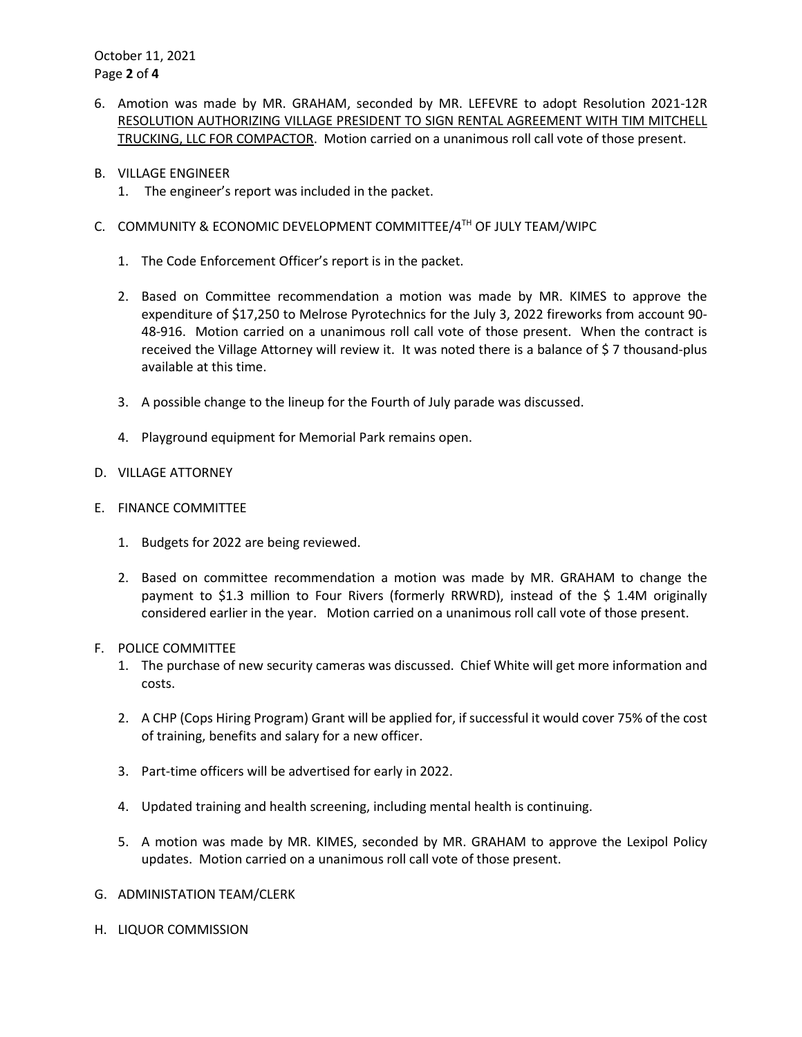October 11, 2021 Page **2** of **4**

- 6. Amotion was made by MR. GRAHAM, seconded by MR. LEFEVRE to adopt Resolution 2021-12R RESOLUTION AUTHORIZING VILLAGE PRESIDENT TO SIGN RENTAL AGREEMENT WITH TIM MITCHELL TRUCKING, LLC FOR COMPACTOR. Motion carried on a unanimous roll call vote of those present.
- B. VILLAGE ENGINEER
	- 1. The engineer's report was included in the packet.
- C. COMMUNITY & ECONOMIC DEVELOPMENT COMMITTEE/4TH OF JULY TEAM/WIPC
	- 1. The Code Enforcement Officer's report is in the packet.
	- 2. Based on Committee recommendation a motion was made by MR. KIMES to approve the expenditure of \$17,250 to Melrose Pyrotechnics for the July 3, 2022 fireworks from account 90- 48-916. Motion carried on a unanimous roll call vote of those present. When the contract is received the Village Attorney will review it. It was noted there is a balance of \$7 thousand-plus available at this time.
	- 3. A possible change to the lineup for the Fourth of July parade was discussed.
	- 4. Playground equipment for Memorial Park remains open.
- D. VILLAGE ATTORNEY
- E. FINANCE COMMITTEE
	- 1. Budgets for 2022 are being reviewed.
	- 2. Based on committee recommendation a motion was made by MR. GRAHAM to change the payment to \$1.3 million to Four Rivers (formerly RRWRD), instead of the \$ 1.4M originally considered earlier in the year. Motion carried on a unanimous roll call vote of those present.
- F. POLICE COMMITTEE
	- 1. The purchase of new security cameras was discussed. Chief White will get more information and costs.
	- 2. A CHP (Cops Hiring Program) Grant will be applied for, if successful it would cover 75% of the cost of training, benefits and salary for a new officer.
	- 3. Part-time officers will be advertised for early in 2022.
	- 4. Updated training and health screening, including mental health is continuing.
	- 5. A motion was made by MR. KIMES, seconded by MR. GRAHAM to approve the Lexipol Policy updates. Motion carried on a unanimous roll call vote of those present.
- G. ADMINISTATION TEAM/CLERK
- H. LIQUOR COMMISSION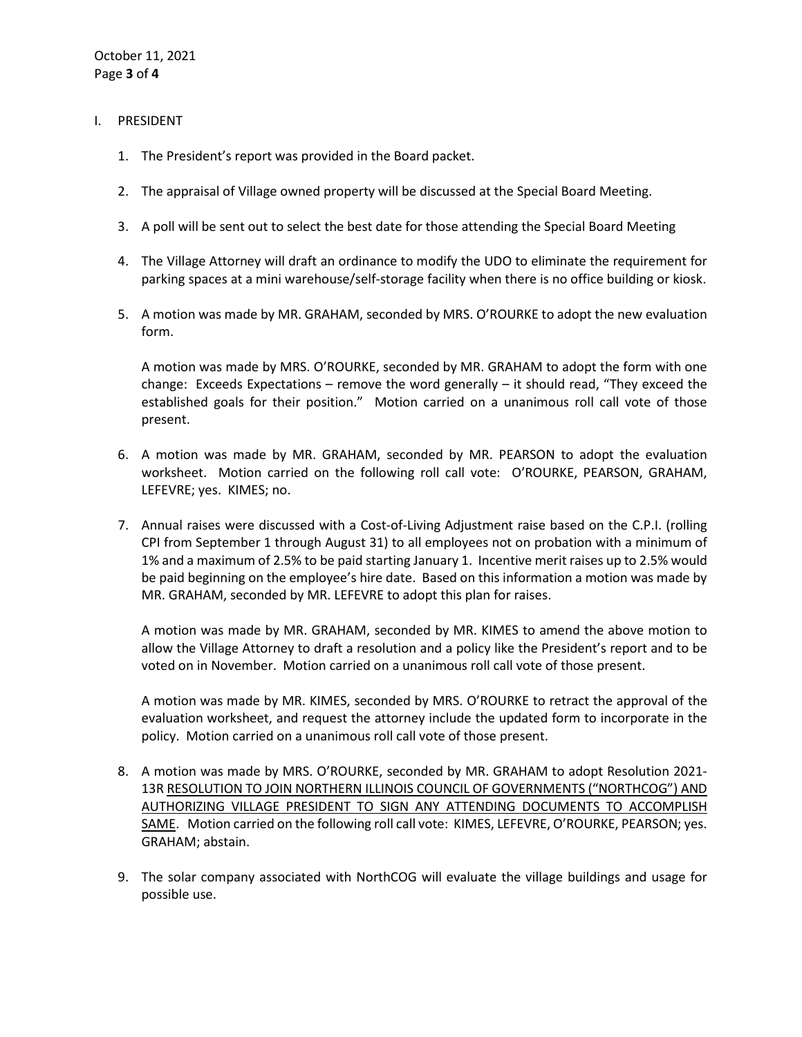- I. PRESIDENT
	- 1. The President's report was provided in the Board packet.
	- 2. The appraisal of Village owned property will be discussed at the Special Board Meeting.
	- 3. A poll will be sent out to select the best date for those attending the Special Board Meeting
	- 4. The Village Attorney will draft an ordinance to modify the UDO to eliminate the requirement for parking spaces at a mini warehouse/self-storage facility when there is no office building or kiosk.
	- 5. A motion was made by MR. GRAHAM, seconded by MRS. O'ROURKE to adopt the new evaluation form.

A motion was made by MRS. O'ROURKE, seconded by MR. GRAHAM to adopt the form with one change: Exceeds Expectations – remove the word generally – it should read, "They exceed the established goals for their position." Motion carried on a unanimous roll call vote of those present.

- 6. A motion was made by MR. GRAHAM, seconded by MR. PEARSON to adopt the evaluation worksheet. Motion carried on the following roll call vote: O'ROURKE, PEARSON, GRAHAM, LEFEVRE; yes. KIMES; no.
- 7. Annual raises were discussed with a Cost-of-Living Adjustment raise based on the C.P.I. (rolling CPI from September 1 through August 31) to all employees not on probation with a minimum of 1% and a maximum of 2.5% to be paid starting January 1. Incentive merit raises up to 2.5% would be paid beginning on the employee's hire date. Based on this information a motion was made by MR. GRAHAM, seconded by MR. LEFEVRE to adopt this plan for raises.

A motion was made by MR. GRAHAM, seconded by MR. KIMES to amend the above motion to allow the Village Attorney to draft a resolution and a policy like the President's report and to be voted on in November. Motion carried on a unanimous roll call vote of those present.

A motion was made by MR. KIMES, seconded by MRS. O'ROURKE to retract the approval of the evaluation worksheet, and request the attorney include the updated form to incorporate in the policy. Motion carried on a unanimous roll call vote of those present.

- 8. A motion was made by MRS. O'ROURKE, seconded by MR. GRAHAM to adopt Resolution 2021- 13R RESOLUTION TO JOIN NORTHERN ILLINOIS COUNCIL OF GOVERNMENTS ("NORTHCOG") AND AUTHORIZING VILLAGE PRESIDENT TO SIGN ANY ATTENDING DOCUMENTS TO ACCOMPLISH SAME. Motion carried on the following roll call vote: KIMES, LEFEVRE, O'ROURKE, PEARSON; yes. GRAHAM; abstain.
- 9. The solar company associated with NorthCOG will evaluate the village buildings and usage for possible use.